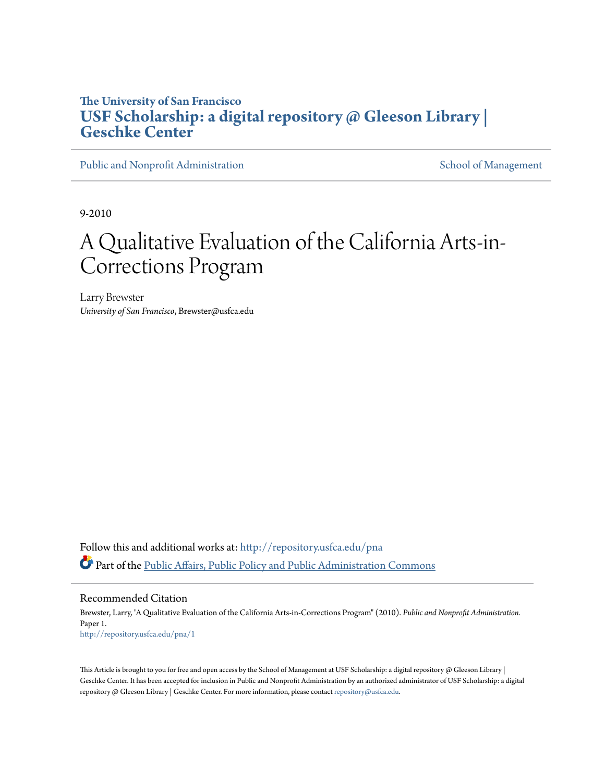# **The University of San Francisco [USF Scholarship: a digital repository @ Gleeson Library |](http://repository.usfca.edu?utm_source=repository.usfca.edu%2Fpna%2F1&utm_medium=PDF&utm_campaign=PDFCoverPages) [Geschke Center](http://repository.usfca.edu?utm_source=repository.usfca.edu%2Fpna%2F1&utm_medium=PDF&utm_campaign=PDFCoverPages)**

[Public and Nonprofit Administration](http://repository.usfca.edu/pna?utm_source=repository.usfca.edu%2Fpna%2F1&utm_medium=PDF&utm_campaign=PDFCoverPages) [School of Management](http://repository.usfca.edu/management?utm_source=repository.usfca.edu%2Fpna%2F1&utm_medium=PDF&utm_campaign=PDFCoverPages)

9-2010

# A Qualitative Evaluation of the California Arts-in-Corrections Program

Larry Brewster *University of San Francisco*, Brewster@usfca.edu

Follow this and additional works at: [http://repository.usfca.edu/pna](http://repository.usfca.edu/pna?utm_source=repository.usfca.edu%2Fpna%2F1&utm_medium=PDF&utm_campaign=PDFCoverPages) Part of the [Public Affairs, Public Policy and Public Administration Commons](http://network.bepress.com/hgg/discipline/393?utm_source=repository.usfca.edu%2Fpna%2F1&utm_medium=PDF&utm_campaign=PDFCoverPages)

#### Recommended Citation

Brewster, Larry, "A Qualitative Evaluation of the California Arts-in-Corrections Program" (2010). *Public and Nonprofit Administration.* Paper 1. [http://repository.usfca.edu/pna/1](http://repository.usfca.edu/pna/1?utm_source=repository.usfca.edu%2Fpna%2F1&utm_medium=PDF&utm_campaign=PDFCoverPages)

This Article is brought to you for free and open access by the School of Management at USF Scholarship: a digital repository  $\varnothing$  Gleeson Library | Geschke Center. It has been accepted for inclusion in Public and Nonprofit Administration by an authorized administrator of USF Scholarship: a digital repository @ Gleeson Library | Geschke Center. For more information, please contact [repository@usfca.edu.](mailto:repository@usfca.edu)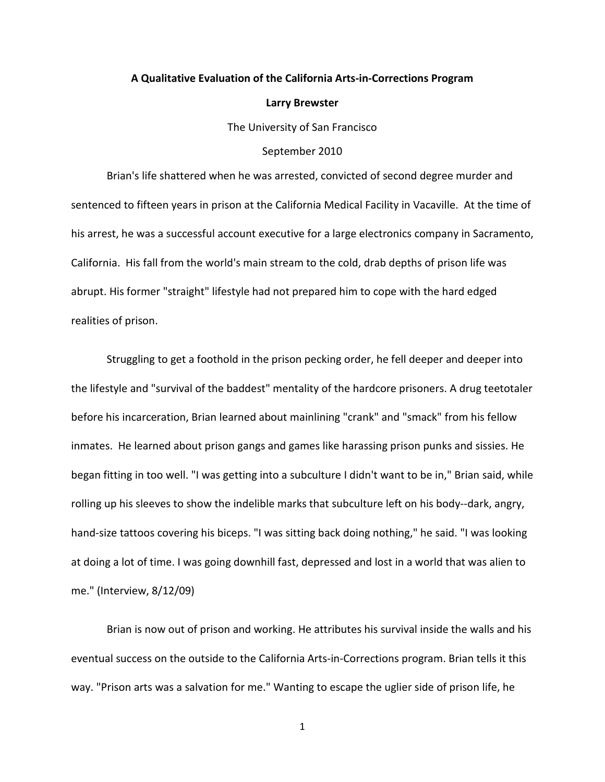# **A Qualitative Evaluation of the California Arts-in-Corrections Program**

#### **Larry Brewster**

The University of San Francisco

## September 2010

Brian's life shattered when he was arrested, convicted of second degree murder and sentenced to fifteen years in prison at the California Medical Facility in Vacaville. At the time of his arrest, he was a successful account executive for a large electronics company in Sacramento, California. His fall from the world's main stream to the cold, drab depths of prison life was abrupt. His former "straight" lifestyle had not prepared him to cope with the hard edged realities of prison.

Struggling to get a foothold in the prison pecking order, he fell deeper and deeper into the lifestyle and "survival of the baddest" mentality of the hardcore prisoners. A drug teetotaler before his incarceration, Brian learned about mainlining "crank" and "smack" from his fellow inmates. He learned about prison gangs and games like harassing prison punks and sissies. He began fitting in too well. "I was getting into a subculture I didn't want to be in," Brian said, while rolling up his sleeves to show the indelible marks that subculture left on his body--dark, angry, hand-size tattoos covering his biceps. "I was sitting back doing nothing," he said. "I was looking at doing a lot of time. I was going downhill fast, depressed and lost in a world that was alien to me." (Interview, 8/12/09)

Brian is now out of prison and working. He attributes his survival inside the walls and his eventual success on the outside to the California Arts-in-Corrections program. Brian tells it this way. "Prison arts was a salvation for me." Wanting to escape the uglier side of prison life, he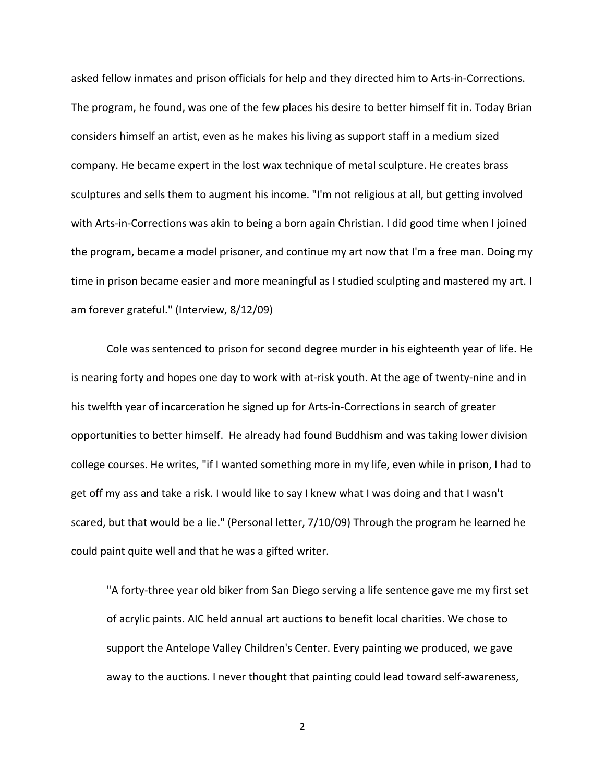asked fellow inmates and prison officials for help and they directed him to Arts-in-Corrections. The program, he found, was one of the few places his desire to better himself fit in. Today Brian considers himself an artist, even as he makes his living as support staff in a medium sized company. He became expert in the lost wax technique of metal sculpture. He creates brass sculptures and sells them to augment his income. "I'm not religious at all, but getting involved with Arts-in-Corrections was akin to being a born again Christian. I did good time when I joined the program, became a model prisoner, and continue my art now that I'm a free man. Doing my time in prison became easier and more meaningful as I studied sculpting and mastered my art. I am forever grateful." (Interview, 8/12/09)

Cole was sentenced to prison for second degree murder in his eighteenth year of life. He is nearing forty and hopes one day to work with at-risk youth. At the age of twenty-nine and in his twelfth year of incarceration he signed up for Arts-in-Corrections in search of greater opportunities to better himself. He already had found Buddhism and was taking lower division college courses. He writes, "if I wanted something more in my life, even while in prison, I had to get off my ass and take a risk. I would like to say I knew what I was doing and that I wasn't scared, but that would be a lie." (Personal letter, 7/10/09) Through the program he learned he could paint quite well and that he was a gifted writer.

"A forty-three year old biker from San Diego serving a life sentence gave me my first set of acrylic paints. AIC held annual art auctions to benefit local charities. We chose to support the Antelope Valley Children's Center. Every painting we produced, we gave away to the auctions. I never thought that painting could lead toward self-awareness,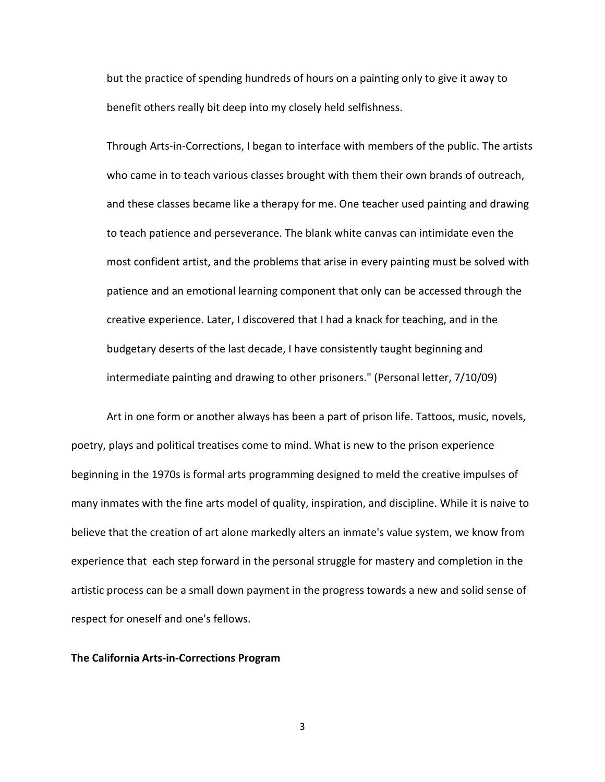but the practice of spending hundreds of hours on a painting only to give it away to benefit others really bit deep into my closely held selfishness.

Through Arts-in-Corrections, I began to interface with members of the public. The artists who came in to teach various classes brought with them their own brands of outreach, and these classes became like a therapy for me. One teacher used painting and drawing to teach patience and perseverance. The blank white canvas can intimidate even the most confident artist, and the problems that arise in every painting must be solved with patience and an emotional learning component that only can be accessed through the creative experience. Later, I discovered that I had a knack for teaching, and in the budgetary deserts of the last decade, I have consistently taught beginning and intermediate painting and drawing to other prisoners." (Personal letter, 7/10/09)

Art in one form or another always has been a part of prison life. Tattoos, music, novels, poetry, plays and political treatises come to mind. What is new to the prison experience beginning in the 1970s is formal arts programming designed to meld the creative impulses of many inmates with the fine arts model of quality, inspiration, and discipline. While it is naive to believe that the creation of art alone markedly alters an inmate's value system, we know from experience that each step forward in the personal struggle for mastery and completion in the artistic process can be a small down payment in the progress towards a new and solid sense of respect for oneself and one's fellows.

## **The California Arts-in-Corrections Program**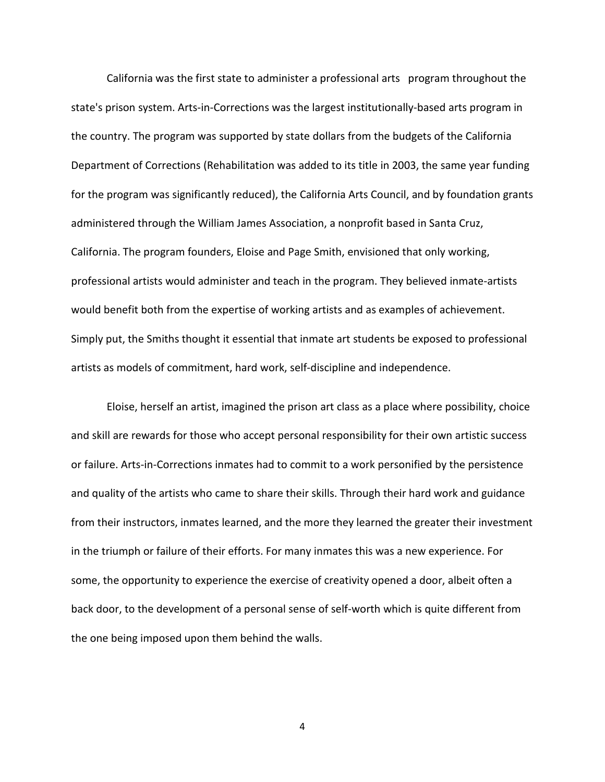California was the first state to administer a professional arts program throughout the state's prison system. Arts-in-Corrections was the largest institutionally-based arts program in the country. The program was supported by state dollars from the budgets of the California Department of Corrections (Rehabilitation was added to its title in 2003, the same year funding for the program was significantly reduced), the California Arts Council, and by foundation grants administered through the William James Association, a nonprofit based in Santa Cruz, California. The program founders, Eloise and Page Smith, envisioned that only working, professional artists would administer and teach in the program. They believed inmate-artists would benefit both from the expertise of working artists and as examples of achievement. Simply put, the Smiths thought it essential that inmate art students be exposed to professional artists as models of commitment, hard work, self-discipline and independence.

Eloise, herself an artist, imagined the prison art class as a place where possibility, choice and skill are rewards for those who accept personal responsibility for their own artistic success or failure. Arts-in-Corrections inmates had to commit to a work personified by the persistence and quality of the artists who came to share their skills. Through their hard work and guidance from their instructors, inmates learned, and the more they learned the greater their investment in the triumph or failure of their efforts. For many inmates this was a new experience. For some, the opportunity to experience the exercise of creativity opened a door, albeit often a back door, to the development of a personal sense of self-worth which is quite different from the one being imposed upon them behind the walls.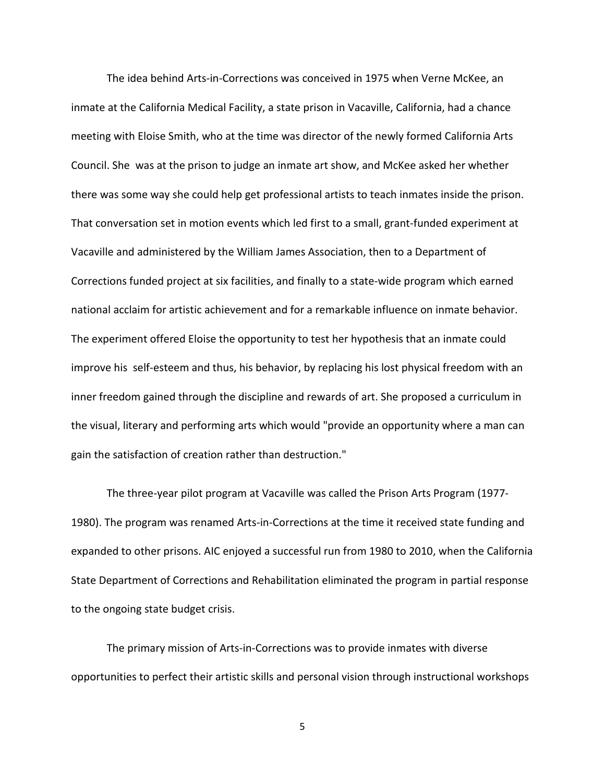The idea behind Arts-in-Corrections was conceived in 1975 when Verne McKee, an inmate at the California Medical Facility, a state prison in Vacaville, California, had a chance meeting with Eloise Smith, who at the time was director of the newly formed California Arts Council. She was at the prison to judge an inmate art show, and McKee asked her whether there was some way she could help get professional artists to teach inmates inside the prison. That conversation set in motion events which led first to a small, grant-funded experiment at Vacaville and administered by the William James Association, then to a Department of Corrections funded project at six facilities, and finally to a state-wide program which earned national acclaim for artistic achievement and for a remarkable influence on inmate behavior. The experiment offered Eloise the opportunity to test her hypothesis that an inmate could improve his self-esteem and thus, his behavior, by replacing his lost physical freedom with an inner freedom gained through the discipline and rewards of art. She proposed a curriculum in the visual, literary and performing arts which would "provide an opportunity where a man can gain the satisfaction of creation rather than destruction."

The three-year pilot program at Vacaville was called the Prison Arts Program (1977- 1980). The program was renamed Arts-in-Corrections at the time it received state funding and expanded to other prisons. AIC enjoyed a successful run from 1980 to 2010, when the California State Department of Corrections and Rehabilitation eliminated the program in partial response to the ongoing state budget crisis.

The primary mission of Arts-in-Corrections was to provide inmates with diverse opportunities to perfect their artistic skills and personal vision through instructional workshops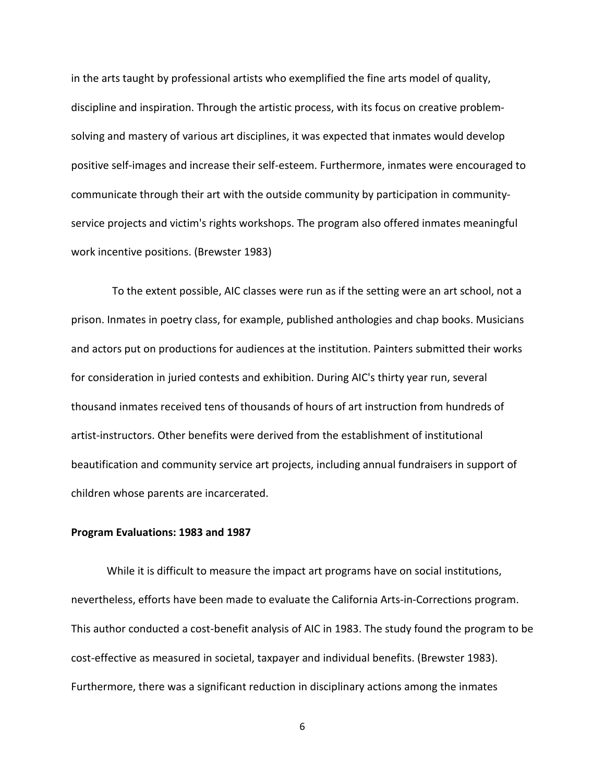in the arts taught by professional artists who exemplified the fine arts model of quality, discipline and inspiration. Through the artistic process, with its focus on creative problemsolving and mastery of various art disciplines, it was expected that inmates would develop positive self-images and increase their self-esteem. Furthermore, inmates were encouraged to communicate through their art with the outside community by participation in communityservice projects and victim's rights workshops. The program also offered inmates meaningful work incentive positions. (Brewster 1983)

 To the extent possible, AIC classes were run as if the setting were an art school, not a prison. Inmates in poetry class, for example, published anthologies and chap books. Musicians and actors put on productions for audiences at the institution. Painters submitted their works for consideration in juried contests and exhibition. During AIC's thirty year run, several thousand inmates received tens of thousands of hours of art instruction from hundreds of artist-instructors. Other benefits were derived from the establishment of institutional beautification and community service art projects, including annual fundraisers in support of children whose parents are incarcerated.

## **Program Evaluations: 1983 and 1987**

While it is difficult to measure the impact art programs have on social institutions, nevertheless, efforts have been made to evaluate the California Arts-in-Corrections program. This author conducted a cost-benefit analysis of AIC in 1983. The study found the program to be cost-effective as measured in societal, taxpayer and individual benefits. (Brewster 1983). Furthermore, there was a significant reduction in disciplinary actions among the inmates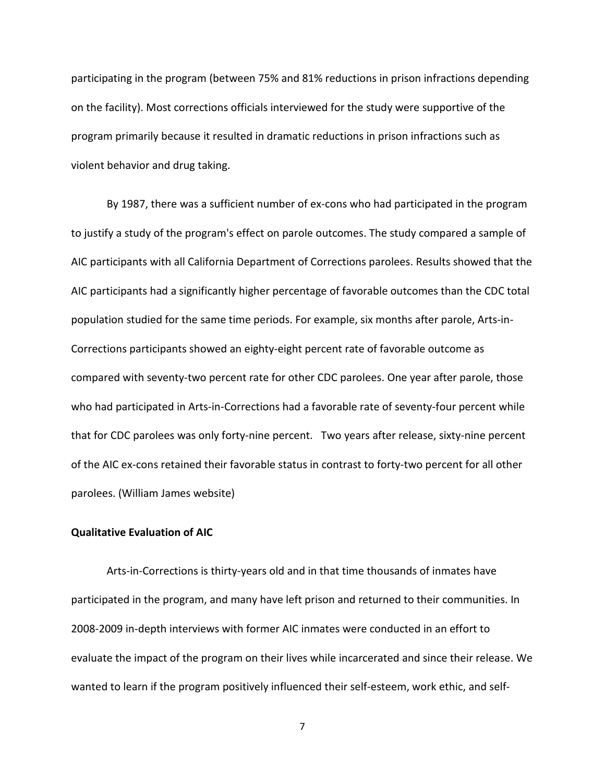participating in the program (between 75% and 81% reductions in prison infractions depending on the facility). Most corrections officials interviewed for the study were supportive of the program primarily because it resulted in dramatic reductions in prison infractions such as violent behavior and drug taking.

By 1987, there was a sufficient number of ex-cons who had participated in the program to justify a study of the program's effect on parole outcomes. The study compared a sample of AIC participants with all California Department of Corrections parolees. Results showed that the AIC participants had a significantly higher percentage of favorable outcomes than the CDC total population studied for the same time periods. For example, six months after parole, Arts-in-Corrections participants showed an eighty-eight percent rate of favorable outcome as compared with seventy-two percent rate for other CDC parolees. One year after parole, those who had participated in Arts-in-Corrections had a favorable rate of seventy-four percent while that for CDC parolees was only forty-nine percent. Two years after release, sixty-nine percent of the AIC ex-cons retained their favorable status in contrast to forty-two percent for all other parolees. (William James website)

# **Qualitative Evaluation of AIC**

Arts-in-Corrections is thirty-years old and in that time thousands of inmates have participated in the program, and many have left prison and returned to their communities. In 2008-2009 in-depth interviews with former AIC inmates were conducted in an effort to evaluate the impact of the program on their lives while incarcerated and since their release. We wanted to learn if the program positively influenced their self-esteem, work ethic, and self-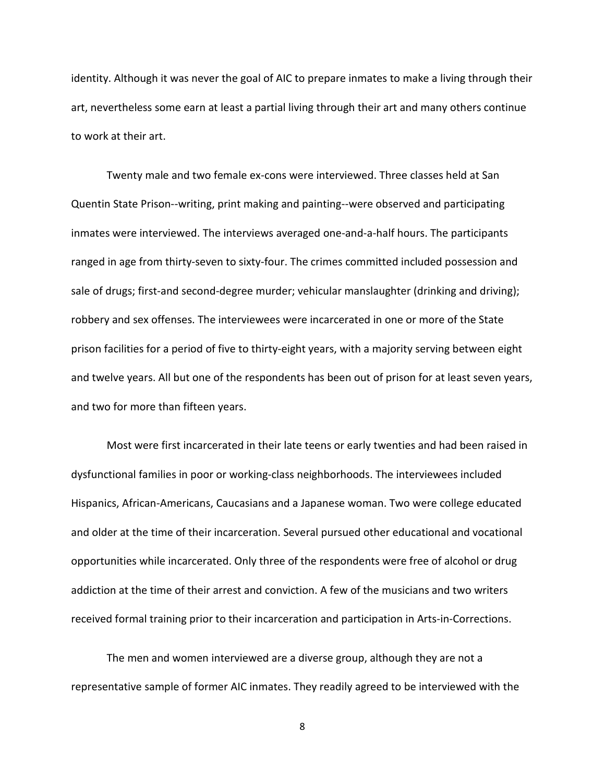identity. Although it was never the goal of AIC to prepare inmates to make a living through their art, nevertheless some earn at least a partial living through their art and many others continue to work at their art.

Twenty male and two female ex-cons were interviewed. Three classes held at San Quentin State Prison--writing, print making and painting--were observed and participating inmates were interviewed. The interviews averaged one-and-a-half hours. The participants ranged in age from thirty-seven to sixty-four. The crimes committed included possession and sale of drugs; first-and second-degree murder; vehicular manslaughter (drinking and driving); robbery and sex offenses. The interviewees were incarcerated in one or more of the State prison facilities for a period of five to thirty-eight years, with a majority serving between eight and twelve years. All but one of the respondents has been out of prison for at least seven years, and two for more than fifteen years.

Most were first incarcerated in their late teens or early twenties and had been raised in dysfunctional families in poor or working-class neighborhoods. The interviewees included Hispanics, African-Americans, Caucasians and a Japanese woman. Two were college educated and older at the time of their incarceration. Several pursued other educational and vocational opportunities while incarcerated. Only three of the respondents were free of alcohol or drug addiction at the time of their arrest and conviction. A few of the musicians and two writers received formal training prior to their incarceration and participation in Arts-in-Corrections.

The men and women interviewed are a diverse group, although they are not a representative sample of former AIC inmates. They readily agreed to be interviewed with the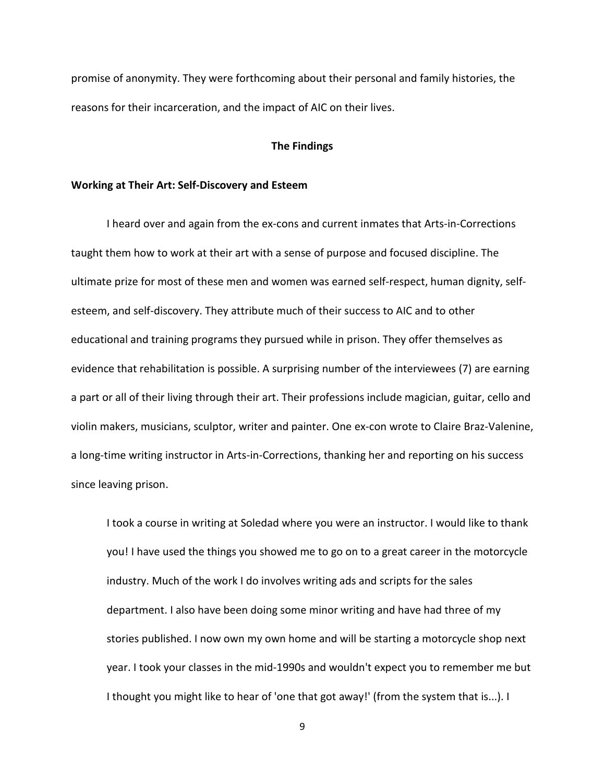promise of anonymity. They were forthcoming about their personal and family histories, the reasons for their incarceration, and the impact of AIC on their lives.

## **The Findings**

# **Working at Their Art: Self-Discovery and Esteem**

I heard over and again from the ex-cons and current inmates that Arts-in-Corrections taught them how to work at their art with a sense of purpose and focused discipline. The ultimate prize for most of these men and women was earned self-respect, human dignity, selfesteem, and self-discovery. They attribute much of their success to AIC and to other educational and training programs they pursued while in prison. They offer themselves as evidence that rehabilitation is possible. A surprising number of the interviewees (7) are earning a part or all of their living through their art. Their professions include magician, guitar, cello and violin makers, musicians, sculptor, writer and painter. One ex-con wrote to Claire Braz-Valenine, a long-time writing instructor in Arts-in-Corrections, thanking her and reporting on his success since leaving prison.

I took a course in writing at Soledad where you were an instructor. I would like to thank you! I have used the things you showed me to go on to a great career in the motorcycle industry. Much of the work I do involves writing ads and scripts for the sales department. I also have been doing some minor writing and have had three of my stories published. I now own my own home and will be starting a motorcycle shop next year. I took your classes in the mid-1990s and wouldn't expect you to remember me but I thought you might like to hear of 'one that got away!' (from the system that is...). I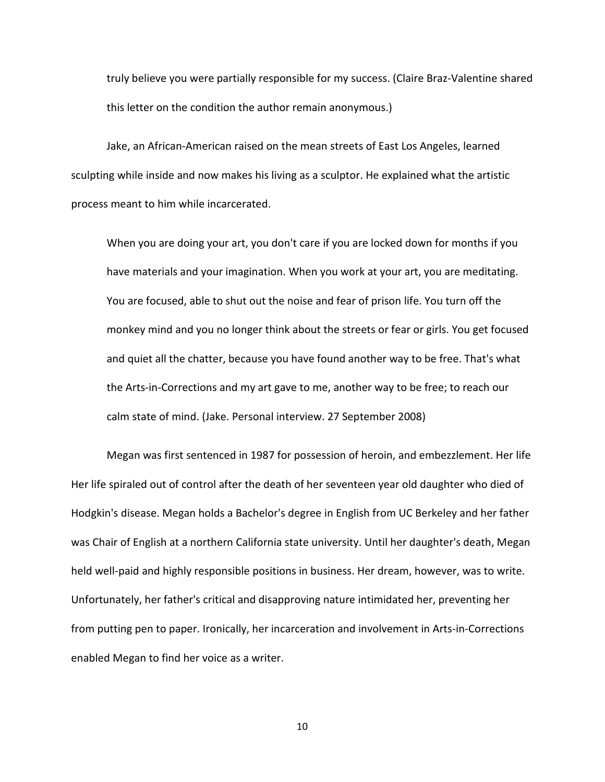truly believe you were partially responsible for my success. (Claire Braz-Valentine shared this letter on the condition the author remain anonymous.)

Jake, an African-American raised on the mean streets of East Los Angeles, learned sculpting while inside and now makes his living as a sculptor. He explained what the artistic process meant to him while incarcerated.

When you are doing your art, you don't care if you are locked down for months if you have materials and your imagination. When you work at your art, you are meditating. You are focused, able to shut out the noise and fear of prison life. You turn off the monkey mind and you no longer think about the streets or fear or girls. You get focused and quiet all the chatter, because you have found another way to be free. That's what the Arts-in-Corrections and my art gave to me, another way to be free; to reach our calm state of mind. (Jake. Personal interview. 27 September 2008)

Megan was first sentenced in 1987 for possession of heroin, and embezzlement. Her life Her life spiraled out of control after the death of her seventeen year old daughter who died of Hodgkin's disease. Megan holds a Bachelor's degree in English from UC Berkeley and her father was Chair of English at a northern California state university. Until her daughter's death, Megan held well-paid and highly responsible positions in business. Her dream, however, was to write. Unfortunately, her father's critical and disapproving nature intimidated her, preventing her from putting pen to paper. Ironically, her incarceration and involvement in Arts-in-Corrections enabled Megan to find her voice as a writer.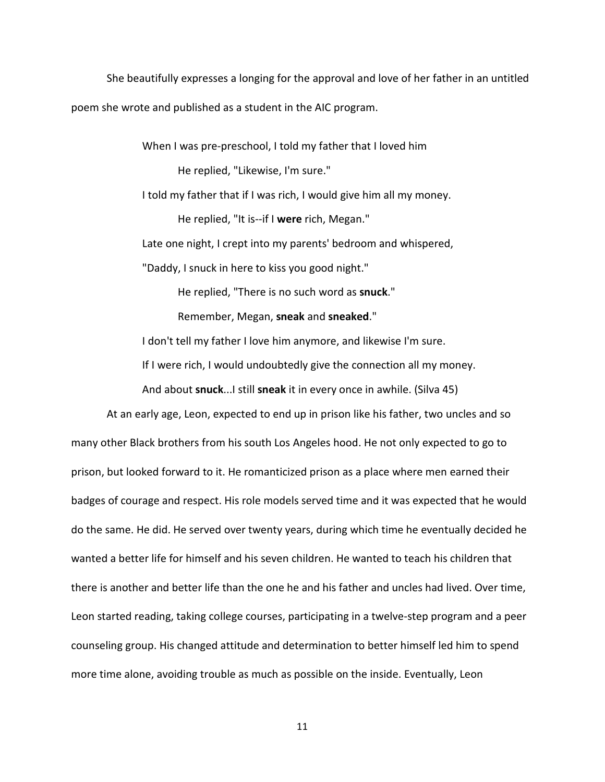She beautifully expresses a longing for the approval and love of her father in an untitled poem she wrote and published as a student in the AIC program.

> When I was pre-preschool, I told my father that I loved him He replied, "Likewise, I'm sure."

I told my father that if I was rich, I would give him all my money.

He replied, "It is--if I **were** rich, Megan."

Late one night, I crept into my parents' bedroom and whispered,

"Daddy, I snuck in here to kiss you good night."

He replied, "There is no such word as **snuck**."

Remember, Megan, **sneak** and **sneaked**."

I don't tell my father I love him anymore, and likewise I'm sure.

If I were rich, I would undoubtedly give the connection all my money.

And about **snuck**...I still **sneak** it in every once in awhile. (Silva 45)

At an early age, Leon, expected to end up in prison like his father, two uncles and so many other Black brothers from his south Los Angeles hood. He not only expected to go to prison, but looked forward to it. He romanticized prison as a place where men earned their badges of courage and respect. His role models served time and it was expected that he would do the same. He did. He served over twenty years, during which time he eventually decided he wanted a better life for himself and his seven children. He wanted to teach his children that there is another and better life than the one he and his father and uncles had lived. Over time, Leon started reading, taking college courses, participating in a twelve-step program and a peer counseling group. His changed attitude and determination to better himself led him to spend more time alone, avoiding trouble as much as possible on the inside. Eventually, Leon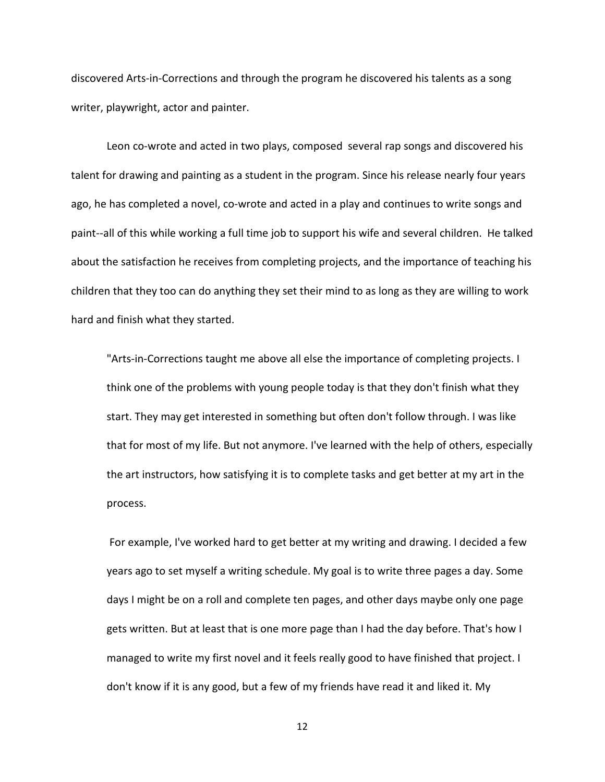discovered Arts-in-Corrections and through the program he discovered his talents as a song writer, playwright, actor and painter.

Leon co-wrote and acted in two plays, composed several rap songs and discovered his talent for drawing and painting as a student in the program. Since his release nearly four years ago, he has completed a novel, co-wrote and acted in a play and continues to write songs and paint--all of this while working a full time job to support his wife and several children. He talked about the satisfaction he receives from completing projects, and the importance of teaching his children that they too can do anything they set their mind to as long as they are willing to work hard and finish what they started.

"Arts-in-Corrections taught me above all else the importance of completing projects. I think one of the problems with young people today is that they don't finish what they start. They may get interested in something but often don't follow through. I was like that for most of my life. But not anymore. I've learned with the help of others, especially the art instructors, how satisfying it is to complete tasks and get better at my art in the process.

For example, I've worked hard to get better at my writing and drawing. I decided a few years ago to set myself a writing schedule. My goal is to write three pages a day. Some days I might be on a roll and complete ten pages, and other days maybe only one page gets written. But at least that is one more page than I had the day before. That's how I managed to write my first novel and it feels really good to have finished that project. I don't know if it is any good, but a few of my friends have read it and liked it. My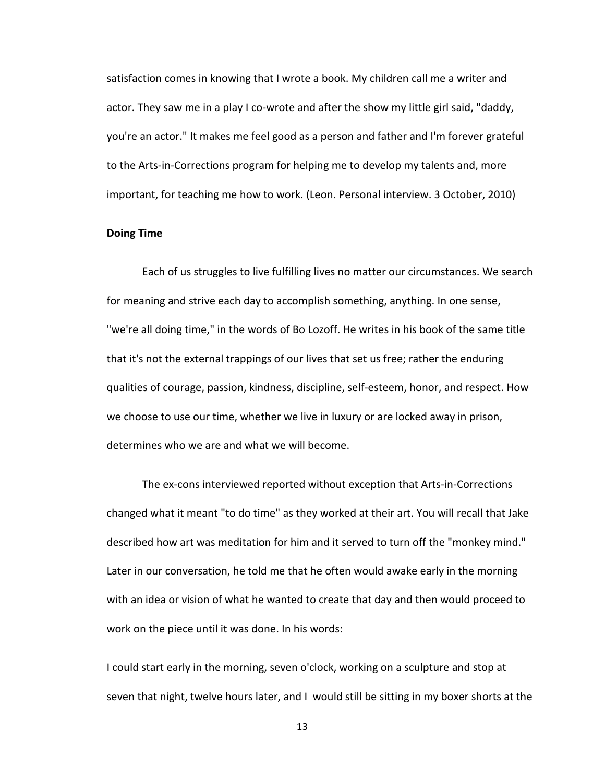satisfaction comes in knowing that I wrote a book. My children call me a writer and actor. They saw me in a play I co-wrote and after the show my little girl said, "daddy, you're an actor." It makes me feel good as a person and father and I'm forever grateful to the Arts-in-Corrections program for helping me to develop my talents and, more important, for teaching me how to work. (Leon. Personal interview. 3 October, 2010)

# **Doing Time**

Each of us struggles to live fulfilling lives no matter our circumstances. We search for meaning and strive each day to accomplish something, anything. In one sense, "we're all doing time," in the words of Bo Lozoff. He writes in his book of the same title that it's not the external trappings of our lives that set us free; rather the enduring qualities of courage, passion, kindness, discipline, self-esteem, honor, and respect. How we choose to use our time, whether we live in luxury or are locked away in prison, determines who we are and what we will become.

The ex-cons interviewed reported without exception that Arts-in-Corrections changed what it meant "to do time" as they worked at their art. You will recall that Jake described how art was meditation for him and it served to turn off the "monkey mind." Later in our conversation, he told me that he often would awake early in the morning with an idea or vision of what he wanted to create that day and then would proceed to work on the piece until it was done. In his words:

I could start early in the morning, seven o'clock, working on a sculpture and stop at seven that night, twelve hours later, and I would still be sitting in my boxer shorts at the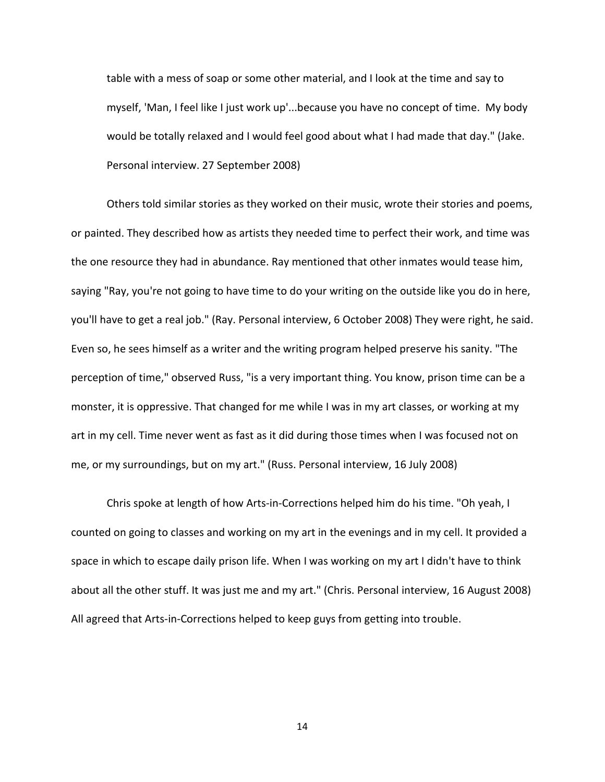table with a mess of soap or some other material, and I look at the time and say to myself, 'Man, I feel like I just work up'...because you have no concept of time. My body would be totally relaxed and I would feel good about what I had made that day." (Jake. Personal interview. 27 September 2008)

Others told similar stories as they worked on their music, wrote their stories and poems, or painted. They described how as artists they needed time to perfect their work, and time was the one resource they had in abundance. Ray mentioned that other inmates would tease him, saying "Ray, you're not going to have time to do your writing on the outside like you do in here, you'll have to get a real job." (Ray. Personal interview, 6 October 2008) They were right, he said. Even so, he sees himself as a writer and the writing program helped preserve his sanity. "The perception of time," observed Russ, "is a very important thing. You know, prison time can be a monster, it is oppressive. That changed for me while I was in my art classes, or working at my art in my cell. Time never went as fast as it did during those times when I was focused not on me, or my surroundings, but on my art." (Russ. Personal interview, 16 July 2008)

Chris spoke at length of how Arts-in-Corrections helped him do his time. "Oh yeah, I counted on going to classes and working on my art in the evenings and in my cell. It provided a space in which to escape daily prison life. When I was working on my art I didn't have to think about all the other stuff. It was just me and my art." (Chris. Personal interview, 16 August 2008) All agreed that Arts-in-Corrections helped to keep guys from getting into trouble.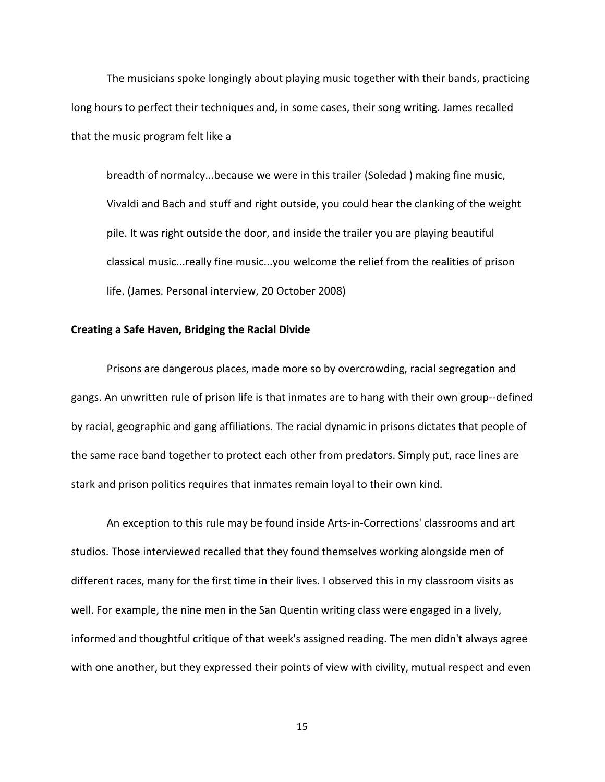The musicians spoke longingly about playing music together with their bands, practicing long hours to perfect their techniques and, in some cases, their song writing. James recalled that the music program felt like a

breadth of normalcy...because we were in this trailer (Soledad ) making fine music, Vivaldi and Bach and stuff and right outside, you could hear the clanking of the weight pile. It was right outside the door, and inside the trailer you are playing beautiful classical music...really fine music...you welcome the relief from the realities of prison life. (James. Personal interview, 20 October 2008)

#### **Creating a Safe Haven, Bridging the Racial Divide**

Prisons are dangerous places, made more so by overcrowding, racial segregation and gangs. An unwritten rule of prison life is that inmates are to hang with their own group--defined by racial, geographic and gang affiliations. The racial dynamic in prisons dictates that people of the same race band together to protect each other from predators. Simply put, race lines are stark and prison politics requires that inmates remain loyal to their own kind.

An exception to this rule may be found inside Arts-in-Corrections' classrooms and art studios. Those interviewed recalled that they found themselves working alongside men of different races, many for the first time in their lives. I observed this in my classroom visits as well. For example, the nine men in the San Quentin writing class were engaged in a lively, informed and thoughtful critique of that week's assigned reading. The men didn't always agree with one another, but they expressed their points of view with civility, mutual respect and even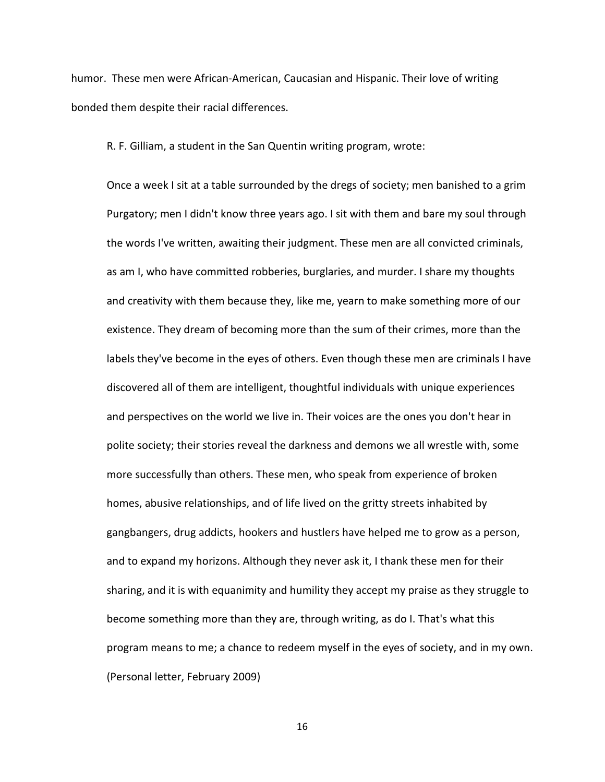humor. These men were African-American, Caucasian and Hispanic. Their love of writing bonded them despite their racial differences.

R. F. Gilliam, a student in the San Quentin writing program, wrote:

Once a week I sit at a table surrounded by the dregs of society; men banished to a grim Purgatory; men I didn't know three years ago. I sit with them and bare my soul through the words I've written, awaiting their judgment. These men are all convicted criminals, as am I, who have committed robberies, burglaries, and murder. I share my thoughts and creativity with them because they, like me, yearn to make something more of our existence. They dream of becoming more than the sum of their crimes, more than the labels they've become in the eyes of others. Even though these men are criminals I have discovered all of them are intelligent, thoughtful individuals with unique experiences and perspectives on the world we live in. Their voices are the ones you don't hear in polite society; their stories reveal the darkness and demons we all wrestle with, some more successfully than others. These men, who speak from experience of broken homes, abusive relationships, and of life lived on the gritty streets inhabited by gangbangers, drug addicts, hookers and hustlers have helped me to grow as a person, and to expand my horizons. Although they never ask it, I thank these men for their sharing, and it is with equanimity and humility they accept my praise as they struggle to become something more than they are, through writing, as do I. That's what this program means to me; a chance to redeem myself in the eyes of society, and in my own. (Personal letter, February 2009)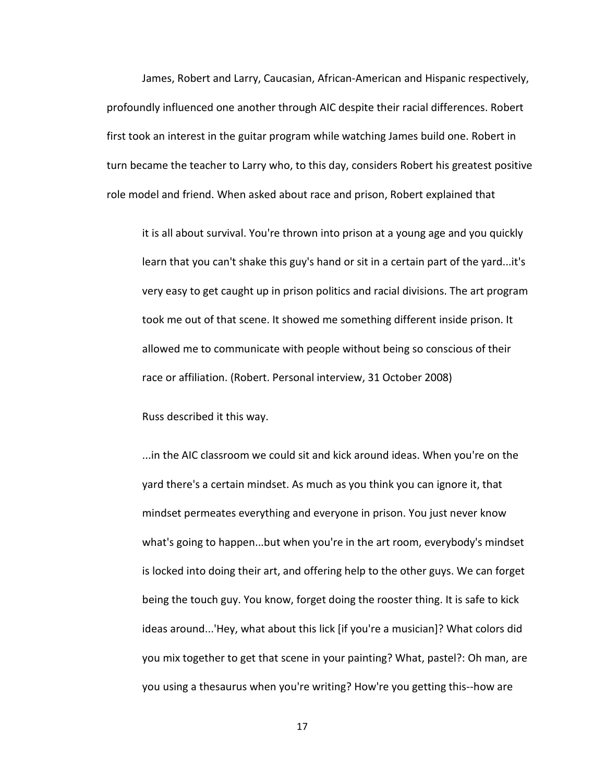James, Robert and Larry, Caucasian, African-American and Hispanic respectively, profoundly influenced one another through AIC despite their racial differences. Robert first took an interest in the guitar program while watching James build one. Robert in turn became the teacher to Larry who, to this day, considers Robert his greatest positive role model and friend. When asked about race and prison, Robert explained that

it is all about survival. You're thrown into prison at a young age and you quickly learn that you can't shake this guy's hand or sit in a certain part of the yard...it's very easy to get caught up in prison politics and racial divisions. The art program took me out of that scene. It showed me something different inside prison. It allowed me to communicate with people without being so conscious of their race or affiliation. (Robert. Personal interview, 31 October 2008)

Russ described it this way.

...in the AIC classroom we could sit and kick around ideas. When you're on the yard there's a certain mindset. As much as you think you can ignore it, that mindset permeates everything and everyone in prison. You just never know what's going to happen...but when you're in the art room, everybody's mindset is locked into doing their art, and offering help to the other guys. We can forget being the touch guy. You know, forget doing the rooster thing. It is safe to kick ideas around...'Hey, what about this lick [if you're a musician]? What colors did you mix together to get that scene in your painting? What, pastel?: Oh man, are you using a thesaurus when you're writing? How're you getting this--how are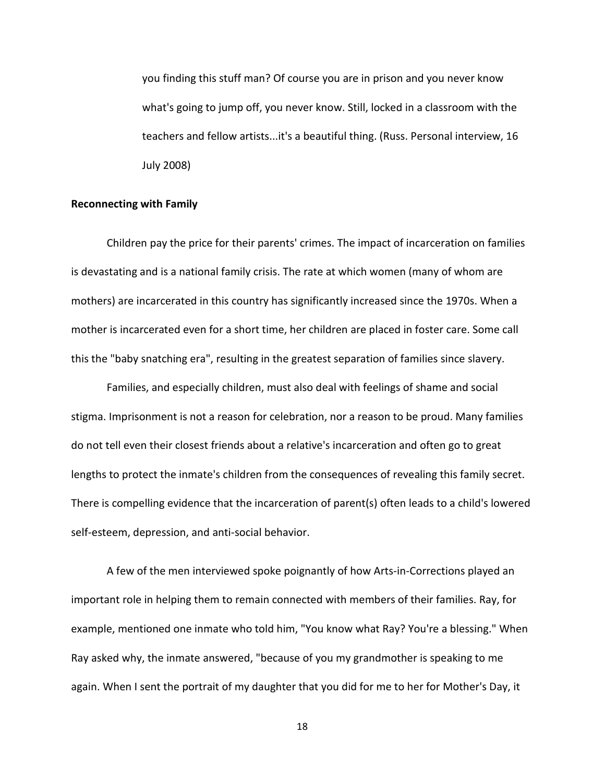you finding this stuff man? Of course you are in prison and you never know what's going to jump off, you never know. Still, locked in a classroom with the teachers and fellow artists...it's a beautiful thing. (Russ. Personal interview, 16 July 2008)

#### **Reconnecting with Family**

Children pay the price for their parents' crimes. The impact of incarceration on families is devastating and is a national family crisis. The rate at which women (many of whom are mothers) are incarcerated in this country has significantly increased since the 1970s. When a mother is incarcerated even for a short time, her children are placed in foster care. Some call this the "baby snatching era", resulting in the greatest separation of families since slavery.

Families, and especially children, must also deal with feelings of shame and social stigma. Imprisonment is not a reason for celebration, nor a reason to be proud. Many families do not tell even their closest friends about a relative's incarceration and often go to great lengths to protect the inmate's children from the consequences of revealing this family secret. There is compelling evidence that the incarceration of parent(s) often leads to a child's lowered self-esteem, depression, and anti-social behavior.

A few of the men interviewed spoke poignantly of how Arts-in-Corrections played an important role in helping them to remain connected with members of their families. Ray, for example, mentioned one inmate who told him, "You know what Ray? You're a blessing." When Ray asked why, the inmate answered, "because of you my grandmother is speaking to me again. When I sent the portrait of my daughter that you did for me to her for Mother's Day, it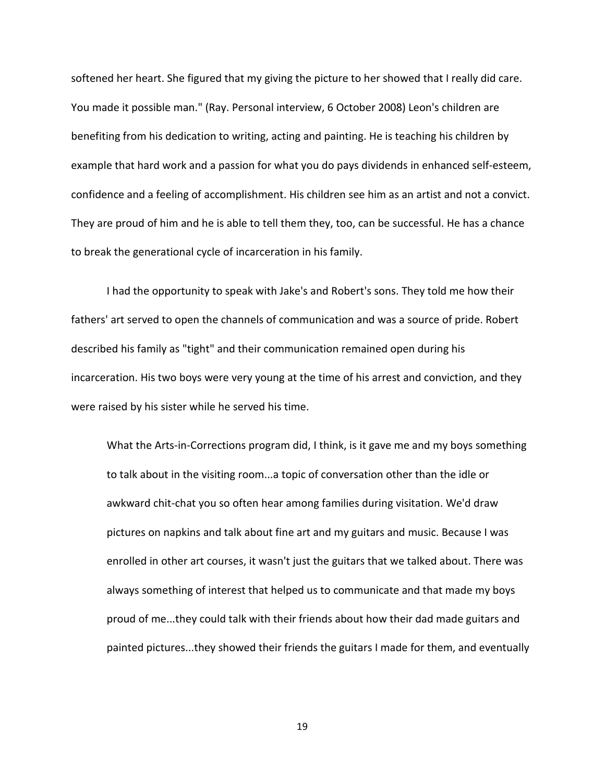softened her heart. She figured that my giving the picture to her showed that I really did care. You made it possible man." (Ray. Personal interview, 6 October 2008) Leon's children are benefiting from his dedication to writing, acting and painting. He is teaching his children by example that hard work and a passion for what you do pays dividends in enhanced self-esteem, confidence and a feeling of accomplishment. His children see him as an artist and not a convict. They are proud of him and he is able to tell them they, too, can be successful. He has a chance to break the generational cycle of incarceration in his family.

I had the opportunity to speak with Jake's and Robert's sons. They told me how their fathers' art served to open the channels of communication and was a source of pride. Robert described his family as "tight" and their communication remained open during his incarceration. His two boys were very young at the time of his arrest and conviction, and they were raised by his sister while he served his time.

What the Arts-in-Corrections program did, I think, is it gave me and my boys something to talk about in the visiting room...a topic of conversation other than the idle or awkward chit-chat you so often hear among families during visitation. We'd draw pictures on napkins and talk about fine art and my guitars and music. Because I was enrolled in other art courses, it wasn't just the guitars that we talked about. There was always something of interest that helped us to communicate and that made my boys proud of me...they could talk with their friends about how their dad made guitars and painted pictures...they showed their friends the guitars I made for them, and eventually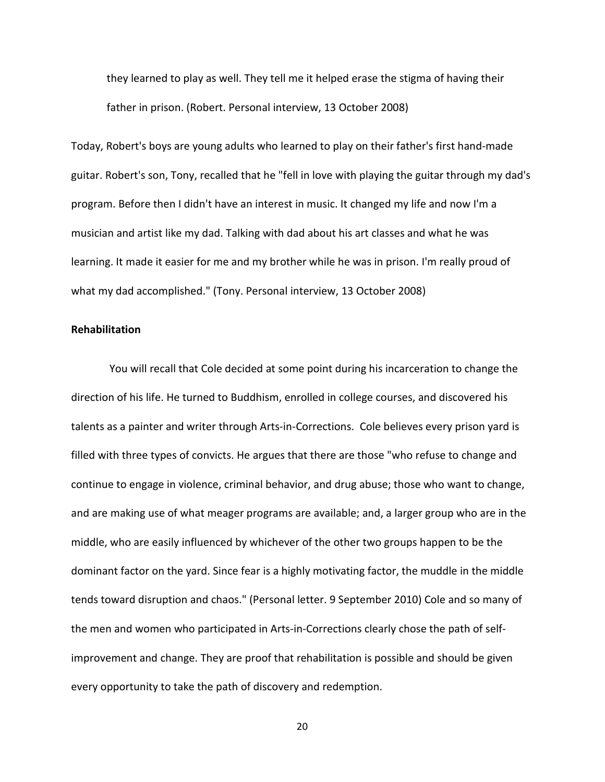they learned to play as well. They tell me it helped erase the stigma of having their father in prison. (Robert. Personal interview, 13 October 2008)

Today, Robert's boys are young adults who learned to play on their father's first hand-made guitar. Robert's son, Tony, recalled that he "fell in love with playing the guitar through my dad's program. Before then I didn't have an interest in music. It changed my life and now I'm a musician and artist like my dad. Talking with dad about his art classes and what he was learning. It made it easier for me and my brother while he was in prison. I'm really proud of what my dad accomplished." (Tony. Personal interview, 13 October 2008)

# **Rehabilitation**

You will recall that Cole decided at some point during his incarceration to change the direction of his life. He turned to Buddhism, enrolled in college courses, and discovered his talents as a painter and writer through Arts-in-Corrections. Cole believes every prison yard is filled with three types of convicts. He argues that there are those "who refuse to change and continue to engage in violence, criminal behavior, and drug abuse; those who want to change, and are making use of what meager programs are available; and, a larger group who are in the middle, who are easily influenced by whichever of the other two groups happen to be the dominant factor on the yard. Since fear is a highly motivating factor, the muddle in the middle tends toward disruption and chaos." (Personal letter. 9 September 2010) Cole and so many of the men and women who participated in Arts-in-Corrections clearly chose the path of selfimprovement and change. They are proof that rehabilitation is possible and should be given every opportunity to take the path of discovery and redemption.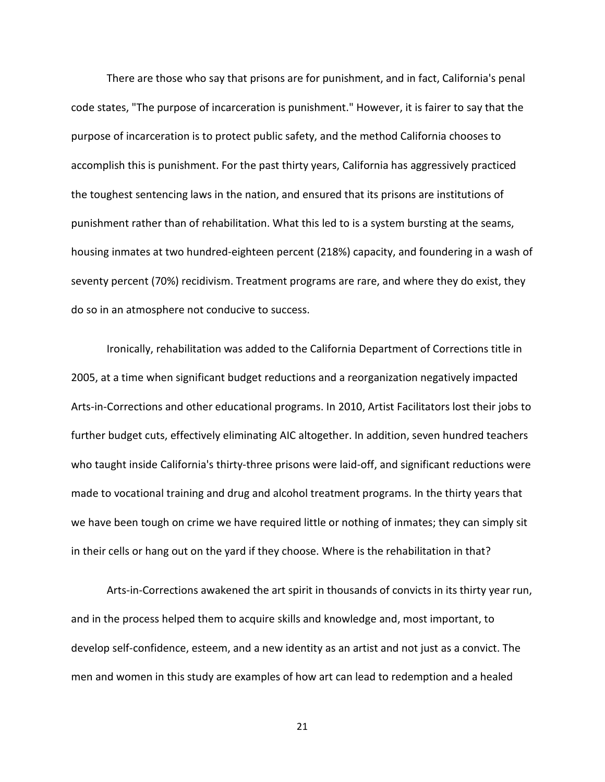There are those who say that prisons are for punishment, and in fact, California's penal code states, "The purpose of incarceration is punishment." However, it is fairer to say that the purpose of incarceration is to protect public safety, and the method California chooses to accomplish this is punishment. For the past thirty years, California has aggressively practiced the toughest sentencing laws in the nation, and ensured that its prisons are institutions of punishment rather than of rehabilitation. What this led to is a system bursting at the seams, housing inmates at two hundred-eighteen percent (218%) capacity, and foundering in a wash of seventy percent (70%) recidivism. Treatment programs are rare, and where they do exist, they do so in an atmosphere not conducive to success.

Ironically, rehabilitation was added to the California Department of Corrections title in 2005, at a time when significant budget reductions and a reorganization negatively impacted Arts-in-Corrections and other educational programs. In 2010, Artist Facilitators lost their jobs to further budget cuts, effectively eliminating AIC altogether. In addition, seven hundred teachers who taught inside California's thirty-three prisons were laid-off, and significant reductions were made to vocational training and drug and alcohol treatment programs. In the thirty years that we have been tough on crime we have required little or nothing of inmates; they can simply sit in their cells or hang out on the yard if they choose. Where is the rehabilitation in that?

Arts-in-Corrections awakened the art spirit in thousands of convicts in its thirty year run, and in the process helped them to acquire skills and knowledge and, most important, to develop self-confidence, esteem, and a new identity as an artist and not just as a convict. The men and women in this study are examples of how art can lead to redemption and a healed